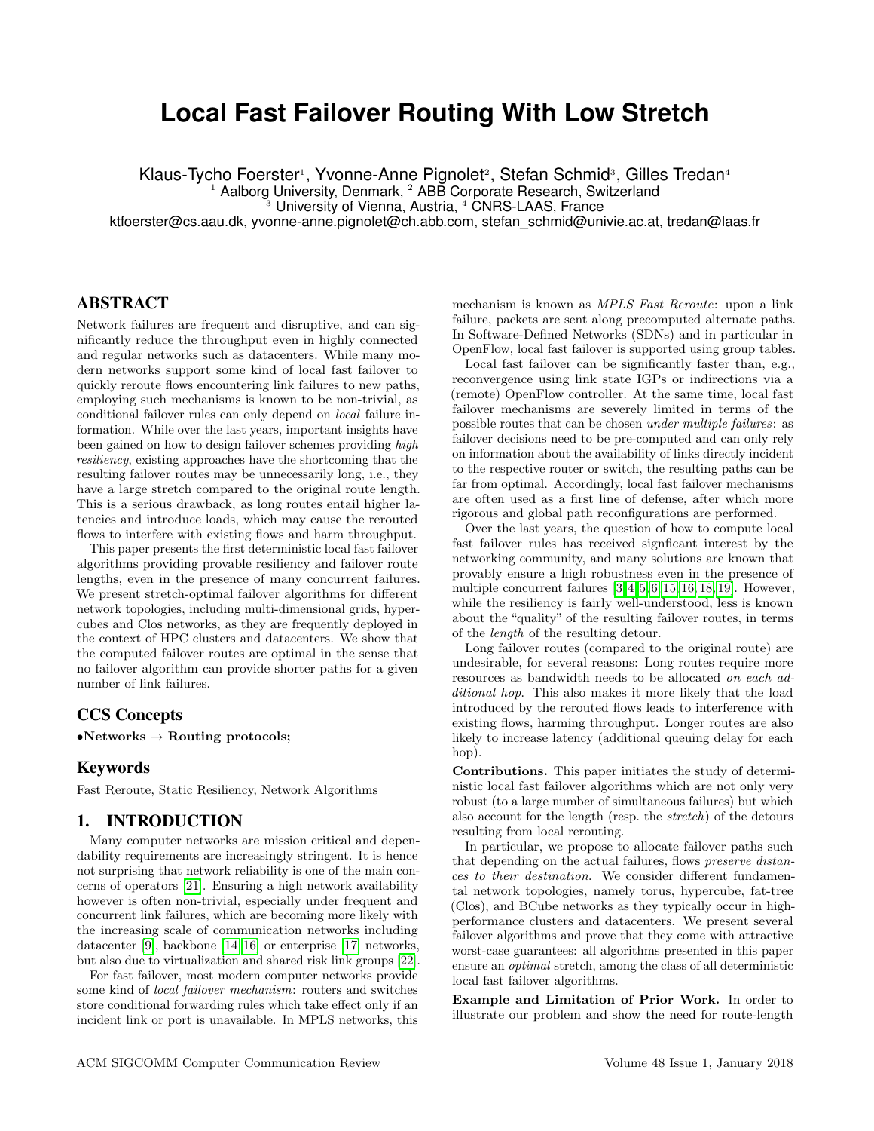# **Local Fast Failover Routing With Low Stretch**

Klaus-Tycho Foerster<sup>1</sup>, Yvonne-Anne Pignolet<sup>2</sup>, Stefan Schmid<sup>3</sup>, Gilles Tredan<sup>4</sup>

Aalborg University, Denmark, <sup>2</sup> ABB Corporate Research, Switzerland

University of Vienna, Austria, <sup>4</sup> CNRS-LAAS, France

ktfoerster@cs.aau.dk, yvonne-anne.pignolet@ch.abb.com, stefan\_schmid@univie.ac.at, tredan@laas.fr

## ABSTRACT

Network failures are frequent and disruptive, and can significantly reduce the throughput even in highly connected and regular networks such as datacenters. While many modern networks support some kind of local fast failover to quickly reroute flows encountering link failures to new paths, employing such mechanisms is known to be non-trivial, as conditional failover rules can only depend on local failure information. While over the last years, important insights have been gained on how to design failover schemes providing high resiliency, existing approaches have the shortcoming that the resulting failover routes may be unnecessarily long, i.e., they have a large stretch compared to the original route length. This is a serious drawback, as long routes entail higher latencies and introduce loads, which may cause the rerouted flows to interfere with existing flows and harm throughput.

This paper presents the first deterministic local fast failover algorithms providing provable resiliency and failover route lengths, even in the presence of many concurrent failures. We present stretch-optimal failover algorithms for different network topologies, including multi-dimensional grids, hypercubes and Clos networks, as they are frequently deployed in the context of HPC clusters and datacenters. We show that the computed failover routes are optimal in the sense that no failover algorithm can provide shorter paths for a given number of link failures.

#### CCS Concepts

 $\bullet$ Networks  $\rightarrow$  Routing protocols;

#### Keywords

Fast Reroute, Static Resiliency, Network Algorithms

#### 1. INTRODUCTION

Many computer networks are mission critical and dependability requirements are increasingly stringent. It is hence not surprising that network reliability is one of the main concerns of operators [\[21\]](#page-5-0). Ensuring a high network availability however is often non-trivial, especially under frequent and concurrent link failures, which are becoming more likely with the increasing scale of communication networks including datacenter [\[9\]](#page-5-1), backbone [\[14,](#page-5-2) [16\]](#page-5-3) or enterprise [\[17\]](#page-5-4) networks, but also due to virtualization and shared risk link groups [\[22\]](#page-5-5).

For fast failover, most modern computer networks provide some kind of local failover mechanism: routers and switches store conditional forwarding rules which take effect only if an incident link or port is unavailable. In MPLS networks, this

mechanism is known as MPLS Fast Reroute: upon a link failure, packets are sent along precomputed alternate paths. In Software-Defined Networks (SDNs) and in particular in OpenFlow, local fast failover is supported using group tables.

Local fast failover can be significantly faster than, e.g., reconvergence using link state IGPs or indirections via a (remote) OpenFlow controller. At the same time, local fast failover mechanisms are severely limited in terms of the possible routes that can be chosen under multiple failures: as failover decisions need to be pre-computed and can only rely on information about the availability of links directly incident to the respective router or switch, the resulting paths can be far from optimal. Accordingly, local fast failover mechanisms are often used as a first line of defense, after which more rigorous and global path reconfigurations are performed.

Over the last years, the question of how to compute local fast failover rules has received signficant interest by the networking community, and many solutions are known that provably ensure a high robustness even in the presence of multiple concurrent failures [\[3,](#page-5-6) [4,](#page-5-7) [5,](#page-5-8) [6,](#page-5-9) [15,](#page-5-10) [16,](#page-5-3) [18,](#page-5-11) [19\]](#page-5-12). However, while the resiliency is fairly well-understood, less is known about the "quality" of the resulting failover routes, in terms of the length of the resulting detour.

Long failover routes (compared to the original route) are undesirable, for several reasons: Long routes require more resources as bandwidth needs to be allocated on each additional hop. This also makes it more likely that the load introduced by the rerouted flows leads to interference with existing flows, harming throughput. Longer routes are also likely to increase latency (additional queuing delay for each hop).

Contributions. This paper initiates the study of deterministic local fast failover algorithms which are not only very robust (to a large number of simultaneous failures) but which also account for the length (resp. the stretch) of the detours resulting from local rerouting.

In particular, we propose to allocate failover paths such that depending on the actual failures, flows preserve distances to their destination. We consider different fundamental network topologies, namely torus, hypercube, fat-tree (Clos), and BCube networks as they typically occur in highperformance clusters and datacenters. We present several failover algorithms and prove that they come with attractive worst-case guarantees: all algorithms presented in this paper ensure an optimal stretch, among the class of all deterministic local fast failover algorithms.

Example and Limitation of Prior Work. In order to illustrate our problem and show the need for route-length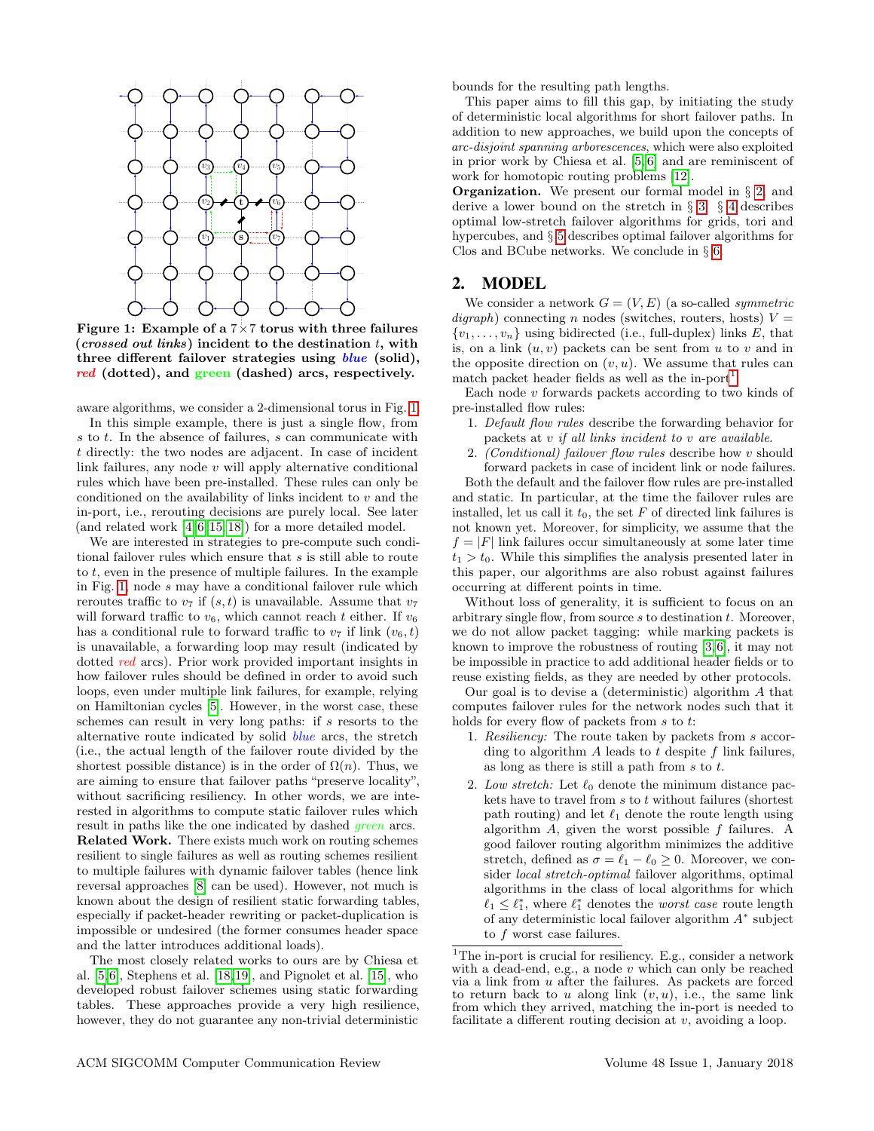

Figure 1: Example of a  $7\times7$  torus with three failures (crossed out links) incident to the destination  $t$ , with three different failover strategies using  $blue$  (solid), red (dotted), and green (dashed) arcs, respectively.

aware algorithms, we consider a 2-dimensional torus in Fig. [1.](#page-1-0)

In this simple example, there is just a single flow, from s to t. In the absence of failures, s can communicate with t directly: the two nodes are adjacent. In case of incident link failures, any node  $v$  will apply alternative conditional rules which have been pre-installed. These rules can only be conditioned on the availability of links incident to  $v$  and the in-port, i.e., rerouting decisions are purely local. See later (and related work  $[4, 6, 15, 18]$  $[4, 6, 15, 18]$  $[4, 6, 15, 18]$  $[4, 6, 15, 18]$ ) for a more detailed model.

We are interested in strategies to pre-compute such conditional failover rules which ensure that s is still able to route to  $t$ , even in the presence of multiple failures. In the example in Fig. [1,](#page-1-0) node s may have a conditional failover rule which reroutes traffic to  $v_7$  if  $(s, t)$  is unavailable. Assume that  $v_7$ will forward traffic to  $v_6$ , which cannot reach t either. If  $v_6$ has a conditional rule to forward traffic to  $v_7$  if link  $(v_6, t)$ is unavailable, a forwarding loop may result (indicated by dotted *red* arcs). Prior work provided important insights in how failover rules should be defined in order to avoid such loops, even under multiple link failures, for example, relying on Hamiltonian cycles [\[5\]](#page-5-8). However, in the worst case, these schemes can result in very long paths: if s resorts to the alternative route indicated by solid blue arcs, the stretch (i.e., the actual length of the failover route divided by the shortest possible distance) is in the order of  $\Omega(n)$ . Thus, we are aiming to ensure that failover paths "preserve locality", without sacrificing resiliency. In other words, we are interested in algorithms to compute static failover rules which result in paths like the one indicated by dashed *green* arcs. Related Work. There exists much work on routing schemes resilient to single failures as well as routing schemes resilient to multiple failures with dynamic failover tables (hence link reversal approaches [\[8\]](#page-5-13) can be used). However, not much is known about the design of resilient static forwarding tables, especially if packet-header rewriting or packet-duplication is impossible or undesired (the former consumes header space and the latter introduces additional loads).

The most closely related works to ours are by Chiesa et al. [\[5,](#page-5-8) [6\]](#page-5-9), Stephens et al. [\[18,](#page-5-11) [19\]](#page-5-12), and Pignolet et al. [\[15\]](#page-5-10), who developed robust failover schemes using static forwarding tables. These approaches provide a very high resilience, however, they do not guarantee any non-trivial deterministic

bounds for the resulting path lengths.

This paper aims to fill this gap, by initiating the study of deterministic local algorithms for short failover paths. In addition to new approaches, we build upon the concepts of arc-disjoint spanning arborescences, which were also exploited in prior work by Chiesa et al. [\[5,](#page-5-8) [6\]](#page-5-9) and are reminiscent of work for homotopic routing problems [\[12\]](#page-5-14).

**Organization.** We present our formal model in  $\S$  [2,](#page-1-1) and derive a lower bound on the stretch in § [3.](#page-2-0) § [4](#page-2-1) describes optimal low-stretch failover algorithms for grids, tori and hypercubes, and § [5](#page-4-0) describes optimal failover algorithms for Clos and BCube networks. We conclude in § [6.](#page-5-15)

#### <span id="page-1-1"></span>2. MODEL

<span id="page-1-0"></span>We consider a network  $G = (V, E)$  (a so-called *symmetric*  $digraph$ ) connecting n nodes (switches, routers, hosts)  $V =$  $\{v_1, \ldots, v_n\}$  using bidirected (i.e., full-duplex) links E, that is, on a link  $(u, v)$  packets can be sent from u to v and in the opposite direction on  $(v, u)$ . We assume that rules can match packet header fields as well as the in-port<sup>[1](#page-1-2)</sup>

Each node  $v$  forwards packets according to two kinds of pre-installed flow rules:

- 1. Default flow rules describe the forwarding behavior for packets at v if all links incident to v are available.
- 2. (Conditional) failover flow rules describe how v should forward packets in case of incident link or node failures.

Both the default and the failover flow rules are pre-installed and static. In particular, at the time the failover rules are installed, let us call it  $t_0$ , the set F of directed link failures is not known yet. Moreover, for simplicity, we assume that the  $f = |F|$  link failures occur simultaneously at some later time  $t_1 > t_0$ . While this simplifies the analysis presented later in this paper, our algorithms are also robust against failures occurring at different points in time.

Without loss of generality, it is sufficient to focus on an arbitrary single flow, from source  $s$  to destination  $t$ . Moreover, we do not allow packet tagging: while marking packets is known to improve the robustness of routing [\[3,](#page-5-6) [6\]](#page-5-9), it may not be impossible in practice to add additional header fields or to reuse existing fields, as they are needed by other protocols.

Our goal is to devise a (deterministic) algorithm A that computes failover rules for the network nodes such that it holds for every flow of packets from  $s$  to  $t$ :

- 1. Resiliency: The route taken by packets from s according to algorithm  $A$  leads to  $t$  despite  $f$  link failures, as long as there is still a path from  $s$  to  $t$ .
- 2. Low stretch: Let  $\ell_0$  denote the minimum distance packets have to travel from  $s$  to  $t$  without failures (shortest path routing) and let  $\ell_1$  denote the route length using algorithm  $A$ , given the worst possible  $f$  failures. A good failover routing algorithm minimizes the additive stretch, defined as  $\sigma = \ell_1 - \ell_0 \geq 0$ . Moreover, we consider local stretch-optimal failover algorithms, optimal algorithms in the class of local algorithms for which  $\ell_1 \leq \ell_1^*$ , where  $\ell_1^*$  denotes the *worst case* route length of any deterministic local failover algorithm  $A^*$  subject to f worst case failures.

<span id="page-1-2"></span><sup>&</sup>lt;sup>1</sup>The in-port is crucial for resiliency. E.g., consider a network with a dead-end, e.g., a node  $v$  which can only be reached via a link from u after the failures. As packets are forced to return back to u along link  $(v, u)$ , i.e., the same link from which they arrived, matching the in-port is needed to facilitate a different routing decision at v, avoiding a loop.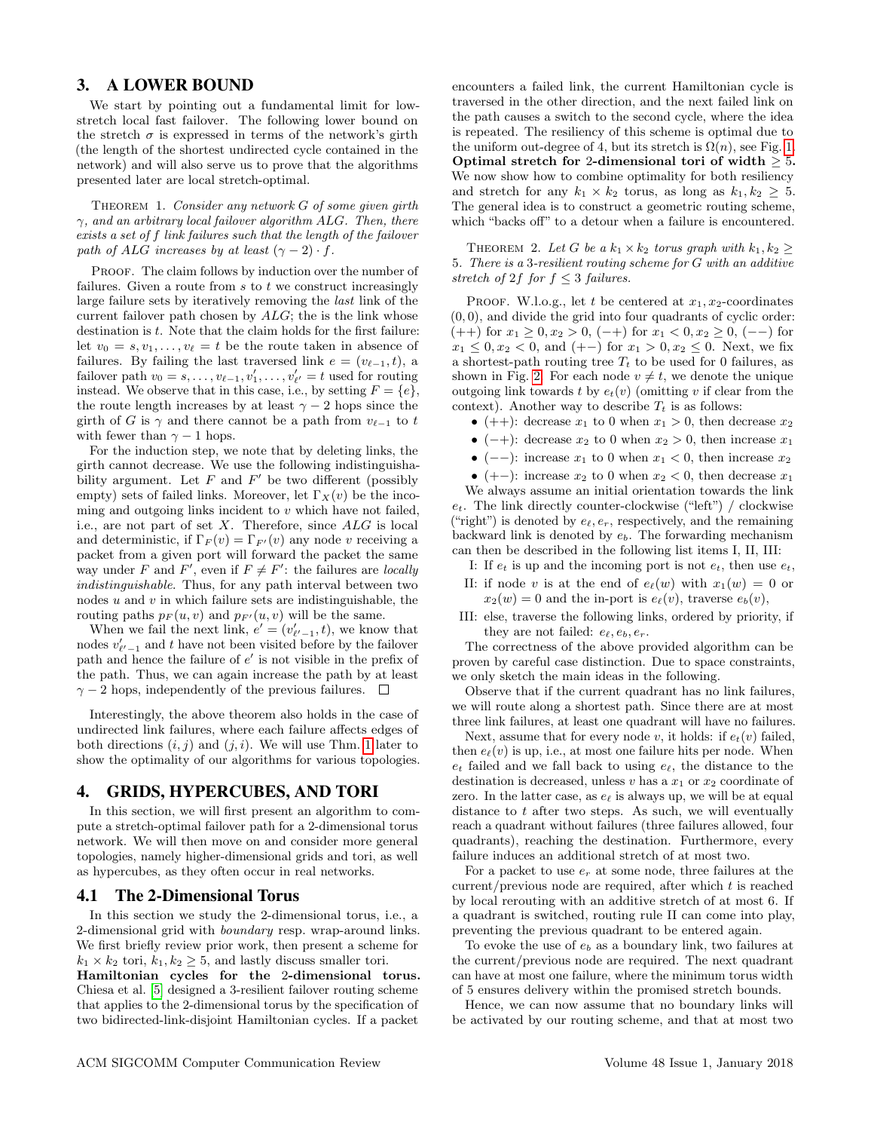## <span id="page-2-0"></span>3. A LOWER BOUND

We start by pointing out a fundamental limit for lowstretch local fast failover. The following lower bound on the stretch  $\sigma$  is expressed in terms of the network's girth (the length of the shortest undirected cycle contained in the network) and will also serve us to prove that the algorithms presented later are local stretch-optimal.

<span id="page-2-2"></span>THEOREM 1. Consider any network  $G$  of some given girth  $\gamma$ , and an arbitrary local failover algorithm ALG. Then, there exists a set of f link failures such that the length of the failover path of ALG increases by at least  $(\gamma - 2) \cdot f$ .

PROOF. The claim follows by induction over the number of failures. Given a route from  $s$  to  $t$  we construct increasingly large failure sets by iteratively removing the last link of the current failover path chosen by  $ALG$ ; the is the link whose destination is  $t$ . Note that the claim holds for the first failure: let  $v_0 = s, v_1, \ldots, v_\ell = t$  be the route taken in absence of failures. By failing the last traversed link  $e = (v_{\ell-1}, t)$ , a failover path  $v_0 = s, \ldots, v_{\ell-1}, v'_1, \ldots, v'_{\ell'} = t$  used for routing instead. We observe that in this case, i.e., by setting  $F = \{e\}$ , the route length increases by at least  $\gamma - 2$  hops since the girth of G is  $\gamma$  and there cannot be a path from  $v_{\ell-1}$  to t with fewer than  $\gamma - 1$  hops.

For the induction step, we note that by deleting links, the girth cannot decrease. We use the following indistinguishability argument. Let  $F$  and  $F'$  be two different (possibly empty) sets of failed links. Moreover, let  $\Gamma_X(v)$  be the incoming and outgoing links incident to  $v$  which have not failed, i.e., are not part of set  $X$ . Therefore, since  $ALG$  is local and deterministic, if  $\Gamma_F(v) = \Gamma_{F'}(v)$  any node v receiving a packet from a given port will forward the packet the same way under F and F', even if  $F \neq F'$ : the failures are *locally* indistinguishable. Thus, for any path interval between two nodes  $u$  and  $v$  in which failure sets are indistinguishable, the routing paths  $p_F(u, v)$  and  $p_{F'}(u, v)$  will be the same.

When we fail the next link,  $e' = (v'_{e'-1}, t)$ , we know that nodes  $v'_{\ell'-1}$  and t have not been visited before by the failover path and hence the failure of  $e'$  is not visible in the prefix of the path. Thus, we can again increase the path by at least  $\gamma$  – 2 hops, independently of the previous failures.  $\Box$ 

Interestingly, the above theorem also holds in the case of undirected link failures, where each failure affects edges of both directions  $(i, j)$  and  $(j, i)$ . We will use Thm. [1](#page-2-2) later to show the optimality of our algorithms for various topologies.

## <span id="page-2-1"></span>4. GRIDS, HYPERCUBES, AND TORI

In this section, we will first present an algorithm to compute a stretch-optimal failover path for a 2-dimensional torus network. We will then move on and consider more general topologies, namely higher-dimensional grids and tori, as well as hypercubes, as they often occur in real networks.

#### 4.1 The 2-Dimensional Torus

In this section we study the 2-dimensional torus, i.e., a 2-dimensional grid with *boundary* resp. wrap-around links. We first briefly review prior work, then present a scheme for  $k_1 \times k_2$  tori,  $k_1, k_2 \geq 5$ , and lastly discuss smaller tori.

Hamiltonian cycles for the 2-dimensional torus. Chiesa et al. [\[5\]](#page-5-8) designed a 3-resilient failover routing scheme that applies to the 2-dimensional torus by the specification of two bidirected-link-disjoint Hamiltonian cycles. If a packet

encounters a failed link, the current Hamiltonian cycle is traversed in the other direction, and the next failed link on the path causes a switch to the second cycle, where the idea is repeated. The resiliency of this scheme is optimal due to the uniform out-degree of 4, but its stretch is  $\Omega(n)$ , see Fig. [1.](#page-1-0) Optimal stretch for 2-dimensional tori of width  $> 5$ . We now show how to combine optimality for both resiliency and stretch for any  $k_1 \times k_2$  torus, as long as  $k_1, k_2 \geq 5$ . The general idea is to construct a geometric routing scheme, which "backs off" to a detour when a failure is encountered.

THEOREM 2. Let G be a  $k_1 \times k_2$  torus graph with  $k_1, k_2 \geq$ 5. There is a 3-resilient routing scheme for G with an additive stretch of 2f for  $f \leq 3$  failures.

PROOF. W.l.o.g., let t be centered at  $x_1, x_2$ -coordinates  $(0, 0)$ , and divide the grid into four quadrants of cyclic order:  $(++)$  for  $x_1 \geq 0, x_2 > 0, (-+)$  for  $x_1 < 0, x_2 \geq 0, (--)$  for  $x_1 \leq 0, x_2 < 0$ , and  $(+-)$  for  $x_1 > 0, x_2 \leq 0$ . Next, we fix a shortest-path routing tree  $T_t$  to be used for 0 failures, as shown in Fig. [2.](#page-3-0) For each node  $v \neq t$ , we denote the unique outgoing link towards t by  $e_t(v)$  (omitting v if clear from the context). Another way to describe  $T_t$  is as follows:

- (++): decrease  $x_1$  to 0 when  $x_1 > 0$ , then decrease  $x_2$
- (-+): decrease  $x_2$  to 0 when  $x_2 > 0$ , then increase  $x_1$
- (--): increase  $x_1$  to 0 when  $x_1 < 0$ , then increase  $x_2$
- (+-): increase  $x_2$  to 0 when  $x_2 < 0$ , then decrease  $x_1$

We always assume an initial orientation towards the link  $e_t$ . The link directly counter-clockwise ("left") / clockwise ("right") is denoted by  $e_{\ell}, e_r$ , respectively, and the remaining backward link is denoted by  $e_b$ . The forwarding mechanism can then be described in the following list items I, II, III:

- I: If  $e_t$  is up and the incoming port is not  $e_t$ , then use  $e_t$ ,
- II: if node v is at the end of  $e_{\ell}(w)$  with  $x_1(w) = 0$  or  $x_2(w) = 0$  and the in-port is  $e_\ell(v)$ , traverse  $e_b(v)$ ,
- III: else, traverse the following links, ordered by priority, if they are not failed:  $e_{\ell}, e_b, e_r$ .

The correctness of the above provided algorithm can be proven by careful case distinction. Due to space constraints, we only sketch the main ideas in the following.

Observe that if the current quadrant has no link failures, we will route along a shortest path. Since there are at most three link failures, at least one quadrant will have no failures.

Next, assume that for every node v, it holds: if  $e_t(v)$  failed, then  $e_{\ell}(v)$  is up, i.e., at most one failure hits per node. When  $e_t$  failed and we fall back to using  $e_\ell$ , the distance to the destination is decreased, unless  $v$  has a  $x_1$  or  $x_2$  coordinate of zero. In the latter case, as  $e_{\ell}$  is always up, we will be at equal distance to t after two steps. As such, we will eventually reach a quadrant without failures (three failures allowed, four quadrants), reaching the destination. Furthermore, every failure induces an additional stretch of at most two.

For a packet to use  $e_r$  at some node, three failures at the current/previous node are required, after which  $t$  is reached by local rerouting with an additive stretch of at most 6. If a quadrant is switched, routing rule II can come into play, preventing the previous quadrant to be entered again.

To evoke the use of  $e_b$  as a boundary link, two failures at the current/previous node are required. The next quadrant can have at most one failure, where the minimum torus width of 5 ensures delivery within the promised stretch bounds.

Hence, we can now assume that no boundary links will be activated by our routing scheme, and that at most two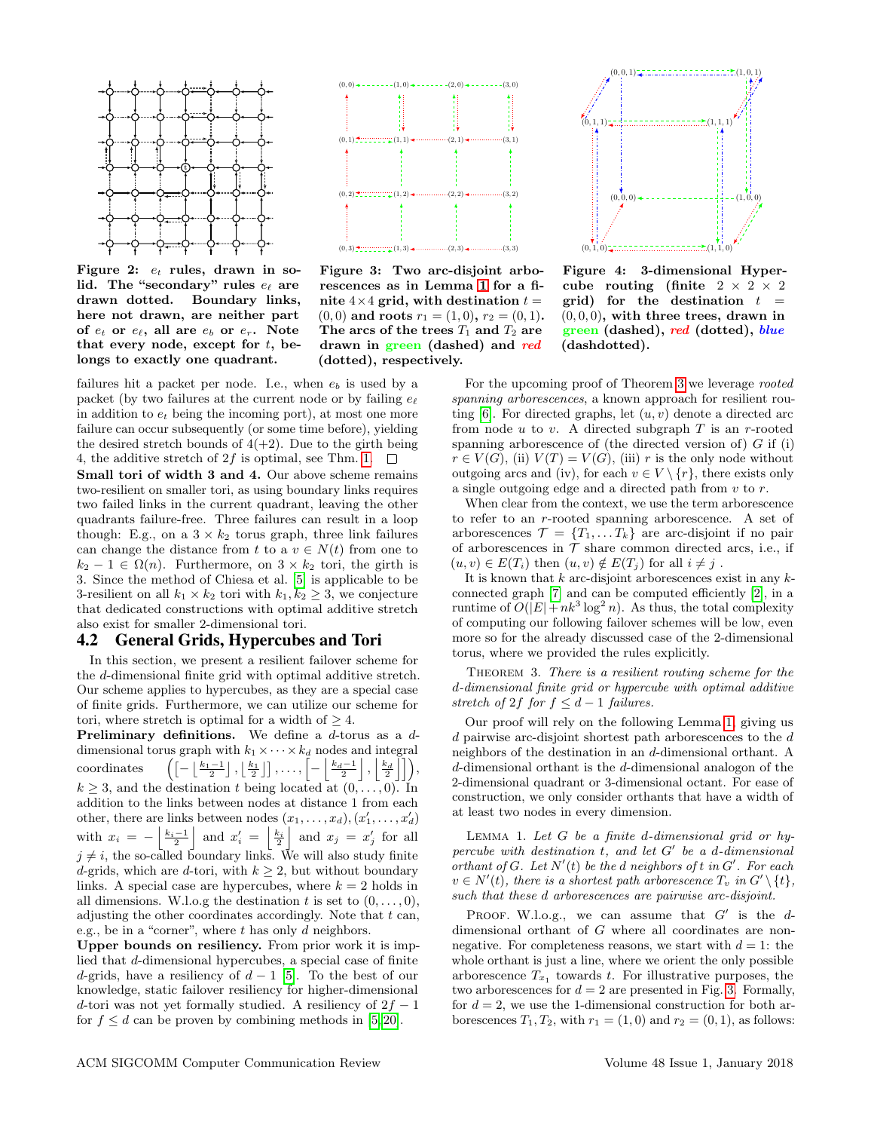

Figure 2:  $e_t$  rules, drawn in solid. The "secondary" rules  $e_{\ell}$  are drawn dotted. Boundary links, here not drawn, are neither part of  $e_t$  or  $e_\ell$ , all are  $e_b$  or  $e_r$ . Note that every node, except for  $t$ , belongs to exactly one quadrant.

failures hit a packet per node. I.e., when  $e_b$  is used by a packet (by two failures at the current node or by failing  $e_{\ell}$ ) in addition to  $e_t$  being the incoming port), at most one more failure can occur subsequently (or some time before), yielding the desired stretch bounds of  $4(+2)$ . Due to the girth being 4, the additive stretch of 2f is optimal, see Thm. [1.](#page-2-2)  $\Box$ Small tori of width 3 and 4. Our above scheme remains two-resilient on smaller tori, as using boundary links requires two failed links in the current quadrant, leaving the other quadrants failure-free. Three failures can result in a loop though: E.g., on a  $3 \times k_2$  torus graph, three link failures can change the distance from t to a  $v \in N(t)$  from one to  $k_2 - 1 \in \Omega(n)$ . Furthermore, on  $3 \times k_2$  tori, the girth is 3. Since the method of Chiesa et al. [\[5\]](#page-5-8) is applicable to be 3-resilient on all  $k_1 \times k_2$  tori with  $k_1, k_2 \geq 3$ , we conjecture

#### also exist for smaller 2-dimensional tori. 4.2 General Grids, Hypercubes and Tori

In this section, we present a resilient failover scheme for the d-dimensional finite grid with optimal additive stretch. Our scheme applies to hypercubes, as they are a special case of finite grids. Furthermore, we can utilize our scheme for tori, where stretch is optimal for a width of  $\geq 4$ .

that dedicated constructions with optimal additive stretch

**Preliminary definitions.** We define a  $d$ -torus as a  $d$ dimensional torus graph with  $k_1 \times \cdots \times k_d$  nodes and integral coordinates  $\left( \left[ -\left\lfloor \frac{k_1-1}{2} \right\rfloor, \left\lfloor \frac{k_1}{2} \right\rfloor \right], \ldots, \left[ -\left\lfloor \frac{k_d-1}{2} \right\rfloor, \left\lfloor \frac{k_d}{2} \right\rfloor \right] \right)$  $k \geq 3$ , and the destination t being located at  $(0, \ldots, 0)$ . In addition to the links between nodes at distance 1 from each other, there are links between nodes  $(x_1, \ldots, x_d), (x'_1, \ldots, x'_d)$ with  $x_i = -\left|\frac{k_i-1}{2}\right|$  and  $x'_i = \left|\frac{k_i}{2}\right|$  and  $x_j = x'_j$  for all  $j \neq i$ , the so-called boundary links. We will also study finite d-grids, which are d-tori, with  $k \geq 2$ , but without boundary links. A special case are hypercubes, where  $k = 2$  holds in all dimensions. W.l.o.g the destination t is set to  $(0, \ldots, 0)$ , adjusting the other coordinates accordingly. Note that  $t$  can, e.g., be in a "corner", where  $t$  has only  $d$  neighbors.

Upper bounds on resiliency. From prior work it is implied that d-dimensional hypercubes, a special case of finite d-grids, have a resiliency of  $d-1$  [\[5\]](#page-5-8). To the best of our knowledge, static failover resiliency for higher-dimensional d-tori was not yet formally studied. A resiliency of  $2f - 1$ for  $f \leq d$  can be proven by combining methods in [\[5,](#page-5-8)20].



<span id="page-3-0"></span>Figure 3: Two arc-disjoint arborescences as in Lemma [1](#page-3-1) for a finite  $4 \times 4$  grid, with destination  $t =$  $(0, 0)$  and roots  $r_1 = (1, 0), r_2 = (0, 1).$ The arcs of the trees  $T_1$  and  $T_2$  are drawn in green (dashed) and red (dotted), respectively.



<span id="page-3-4"></span><span id="page-3-3"></span>Figure 4: 3-dimensional Hypercube routing (finite  $2 \times 2 \times 2$ grid) for the destination  $t =$  $(0, 0, 0)$ , with three trees, drawn in green (dashed), red (dotted), blue (dashdotted).

For the upcoming proof of Theorem [3](#page-3-2) we leverage rooted spanning arborescences, a known approach for resilient routing  $[6]$ . For directed graphs, let  $(u, v)$  denote a directed arc from node u to v. A directed subgraph  $T$  is an r-rooted spanning arborescence of (the directed version of)  $G$  if (i)  $r \in V(G)$ , (ii)  $V(T) = V(G)$ , (iii) r is the only node without outgoing arcs and (iv), for each  $v \in V \setminus \{r\}$ , there exists only a single outgoing edge and a directed path from v to r.

When clear from the context, we use the term arborescence to refer to an r-rooted spanning arborescence. A set of arborescences  $\mathcal{T} = \{T_1, \ldots T_k\}$  are arc-disjoint if no pair of arborescences in  $T$  share common directed arcs, i.e., if  $(u, v) \in E(T_i)$  then  $(u, v) \notin E(T_j)$  for all  $i \neq j$ .

It is known that  $k$  arc-disjoint arborescences exist in any  $k$ connected graph [\[7\]](#page-5-17) and can be computed efficiently [\[2\]](#page-5-18), in a runtime of  $O(|E| + nk^3 \log^2 n)$ . As thus, the total complexity of computing our following failover schemes will be low, even more so for the already discussed case of the 2-dimensional torus, where we provided the rules explicitly.

<span id="page-3-2"></span>THEOREM 3. There is a resilient routing scheme for the d-dimensional finite grid or hypercube with optimal additive stretch of 2f for  $f \leq d-1$  failures.

Our proof will rely on the following Lemma [1,](#page-3-1) giving us d pairwise arc-disjoint shortest path arborescences to the d neighbors of the destination in an d-dimensional orthant. A d-dimensional orthant is the d-dimensional analogon of the 2-dimensional quadrant or 3-dimensional octant. For ease of construction, we only consider orthants that have a width of at least two nodes in every dimension.

<span id="page-3-1"></span>LEMMA 1. Let  $G$  be a finite d-dimensional grid or hypercube with destination  $t$ , and let  $G'$  be a d-dimensional orthant of G. Let  $N'(t)$  be the d neighbors of t in  $G'$ . For each  $v \in N'(t)$ , there is a shortest path arborescence  $T_v$  in  $G' \setminus \{t\}$ , such that these d arborescences are pairwise arc-disjoint.

PROOF. W.l.o.g., we can assume that  $G'$  is the ddimensional orthant of G where all coordinates are nonnegative. For completeness reasons, we start with  $d = 1$ : the whole orthant is just a line, where we orient the only possible arborescence  $T_{x_1}$  towards t. For illustrative purposes, the two arborescences for  $d = 2$  are presented in Fig. [3.](#page-3-3) Formally, for  $d = 2$ , we use the 1-dimensional construction for both arborescences  $T_1, T_2$ , with  $r_1 = (1, 0)$  and  $r_2 = (0, 1)$ , as follows: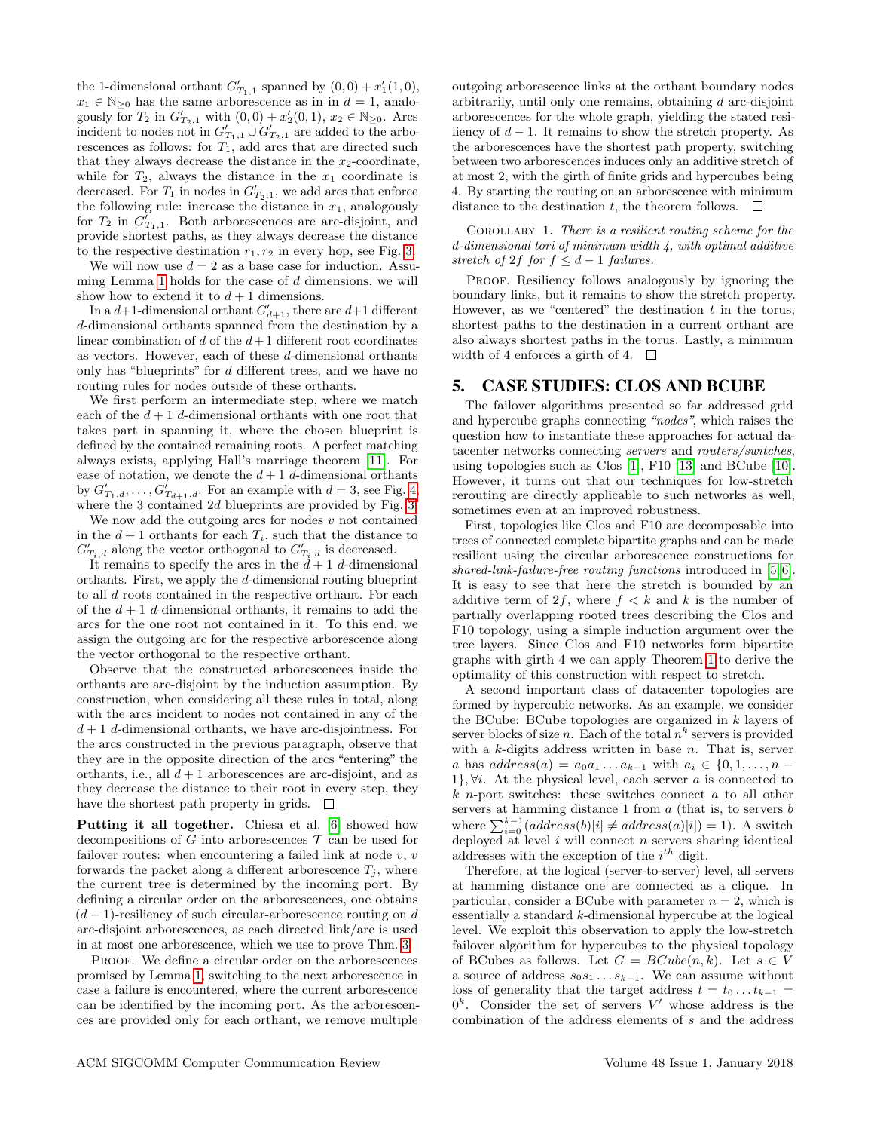the 1-dimensional orthant  $G'_{T_1,1}$  spanned by  $(0,0) + x'_1(1,0)$ ,  $x_1 \in \mathbb{N}_{\geq 0}$  has the same arborescence as in in  $d = 1$ , analogously for  $T_2$  in  $G'_{T_2,1}$  with  $(0,0) + x'_2(0,1)$ ,  $x_2 \in \mathbb{N}_{\geq 0}$ . Arcs incident to nodes not in  $G'_{T_1,1} \cup G'_{T_2,1}$  are added to the arborescences as follows: for  $T_1$ , add arcs that are directed such that they always decrease the distance in the  $x_2$ -coordinate, while for  $T_2$ , always the distance in the  $x_1$  coordinate is decreased. For  $T_1$  in nodes in  $G'_{T_2,1}$ , we add arcs that enforce the following rule: increase the distance in  $x_1$ , analogously for  $T_2$  in  $G'_{T_1,1}$ . Both arborescences are arc-disjoint, and provide shortest paths, as they always decrease the distance to the respective destination  $r_1, r_2$  in every hop, see Fig. [3.](#page-3-3)

We will now use  $d = 2$  as a base case for induction. Assu-ming Lemma [1](#page-3-1) holds for the case of  $d$  dimensions, we will show how to extend it to  $d+1$  dimensions.

In a  $d+1$ -dimensional orthant  $G'_{d+1}$ , there are  $d+1$  different d-dimensional orthants spanned from the destination by a linear combination of  $d$  of the  $d+1$  different root coordinates as vectors. However, each of these d-dimensional orthants only has "blueprints" for  $d$  different trees, and we have no routing rules for nodes outside of these orthants.

We first perform an intermediate step, where we match each of the  $d+1$  d-dimensional orthants with one root that takes part in spanning it, where the chosen blueprint is defined by the contained remaining roots. A perfect matching always exists, applying Hall's marriage theorem [\[11\]](#page-5-19). For ease of notation, we denote the  $d+1$  d-dimensional orthants by  $G'_{T_1,d}, \ldots, G'_{T_{d+1},d}$ . For an example with  $d = 3$ , see Fig. [4,](#page-3-4) where the 3 contained 2d blueprints are provided by Fig. [3.](#page-3-3)

We now add the outgoing arcs for nodes  $v$  not contained in the  $d+1$  orthants for each  $T_i$ , such that the distance to  $G'_{T_i,d}$  along the vector orthogonal to  $G'_{T_i,d}$  is decreased.

It remains to specify the arcs in the  $d+1$  d-dimensional orthants. First, we apply the d-dimensional routing blueprint to all d roots contained in the respective orthant. For each of the  $d+1$  d-dimensional orthants, it remains to add the arcs for the one root not contained in it. To this end, we assign the outgoing arc for the respective arborescence along the vector orthogonal to the respective orthant.

Observe that the constructed arborescences inside the orthants are arc-disjoint by the induction assumption. By construction, when considering all these rules in total, along with the arcs incident to nodes not contained in any of the  $d+1$  d-dimensional orthants, we have arc-disjointness. For the arcs constructed in the previous paragraph, observe that they are in the opposite direction of the arcs "entering" the orthants, i.e., all  $d + 1$  arborescences are arc-disjoint, and as they decrease the distance to their root in every step, they have the shortest path property in grids.  $\Box$ 

Putting it all together. Chiesa et al. [\[6\]](#page-5-9) showed how decompositions of G into arborescences  $\mathcal T$  can be used for failover routes: when encountering a failed link at node  $v, v$ forwards the packet along a different arborescence  $T_i$ , where the current tree is determined by the incoming port. By defining a circular order on the arborescences, one obtains  $(d-1)$ -resiliency of such circular-arborescence routing on d arc-disjoint arborescences, as each directed link/arc is used in at most one arborescence, which we use to prove Thm. [3.](#page-3-2)

PROOF. We define a circular order on the arborescences promised by Lemma [1,](#page-3-1) switching to the next arborescence in case a failure is encountered, where the current arborescence can be identified by the incoming port. As the arborescences are provided only for each orthant, we remove multiple outgoing arborescence links at the orthant boundary nodes arbitrarily, until only one remains, obtaining d arc-disjoint arborescences for the whole graph, yielding the stated resiliency of  $d-1$ . It remains to show the stretch property. As the arborescences have the shortest path property, switching between two arborescences induces only an additive stretch of at most 2, with the girth of finite grids and hypercubes being 4. By starting the routing on an arborescence with minimum distance to the destination t, the theorem follows.  $\Box$ 

COROLLARY 1. There is a resilient routing scheme for the d-dimensional tori of minimum width 4, with optimal additive stretch of 2f for  $f \leq d-1$  failures.

PROOF. Resiliency follows analogously by ignoring the boundary links, but it remains to show the stretch property. However, as we "centered" the destination  $t$  in the torus, shortest paths to the destination in a current orthant are also always shortest paths in the torus. Lastly, a minimum width of 4 enforces a girth of 4.  $\square$ 

## <span id="page-4-0"></span>5. CASE STUDIES: CLOS AND BCUBE

The failover algorithms presented so far addressed grid and hypercube graphs connecting "nodes", which raises the question how to instantiate these approaches for actual datacenter networks connecting servers and routers/switches, using topologies such as Clos [\[1\]](#page-5-20), F10 [\[13\]](#page-5-21) and BCube [\[10\]](#page-5-22). However, it turns out that our techniques for low-stretch rerouting are directly applicable to such networks as well, sometimes even at an improved robustness.

First, topologies like Clos and F10 are decomposable into trees of connected complete bipartite graphs and can be made resilient using the circular arborescence constructions for shared-link-failure-free routing functions introduced in [\[5,](#page-5-8)6]. It is easy to see that here the stretch is bounded by an additive term of 2f, where  $f < k$  and k is the number of partially overlapping rooted trees describing the Clos and F10 topology, using a simple induction argument over the tree layers. Since Clos and F10 networks form bipartite graphs with girth 4 we can apply Theorem [1](#page-2-2) to derive the optimality of this construction with respect to stretch.

A second important class of datacenter topologies are formed by hypercubic networks. As an example, we consider the BCube: BCube topologies are organized in k layers of server blocks of size n. Each of the total  $n^k$  servers is provided with a  $k$ -digits address written in base  $n$ . That is, server a has  $address(a) = a_0a_1 \ldots a_{k-1}$  with  $a_i \in \{0, 1, \ldots, n -$ 1},  $\forall i$ . At the physical level, each server a is connected to  $k$  *n*-port switches: these switches connect  $a$  to all other servers at hamming distance 1 from  $a$  (that is, to servers  $b$ where  $\sum_{i=0}^{k-1} (address(b)[i] \neq address(a)[i]) = 1$ ). A switch deployed at level  $i$  will connect  $n$  servers sharing identical addresses with the exception of the  $i^{th}$  digit.

Therefore, at the logical (server-to-server) level, all servers at hamming distance one are connected as a clique. In particular, consider a BCube with parameter  $n = 2$ , which is essentially a standard k-dimensional hypercube at the logical level. We exploit this observation to apply the low-stretch failover algorithm for hypercubes to the physical topology of BCubes as follows. Let  $G = BCube(n, k)$ . Let  $s \in V$ a source of address  $s_0s_1 \ldots s_{k-1}$ . We can assume without loss of generality that the target address  $t = t_0 \dots t_{k-1} =$  $0^k$ . Consider the set of servers V' whose address is the combination of the address elements of s and the address